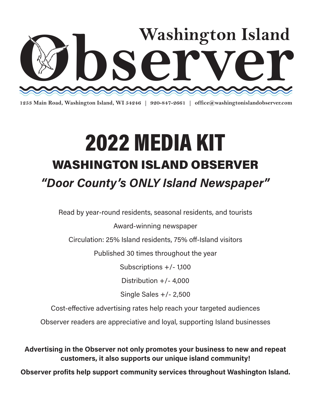

**1253 Main Road, Washington Island, WI 54246 | 920-847-2661 | office@washingtonislandobserver.com**

### 2022 MEDIA KIT WASHINGTON ISLAND OBSERVER "Door County's ONLY Island Newspaper" 2021 MEDIA KIT WAS INLUIN IN L • Read by year-round residents, seasonal residents + tourists

Read by year-round residents, seasonal residents, and tourists

Award-winning newspaper

Circulation: 25% Island residents, 75% off-Island visitors

Published 30 times throughout the year

Subscriptions +/- 1,100  $\Omega$ 

Distribution  $+/- 4,000$ 

Single Sales +/- 2,500

Cost-effective advertising rates help reach your targeted audiences

Observer readers are appreciative and loyal, supporting Island businesses

Advertising in the Observer not only promotes your business to new and repeat customers, it also supports our unique island community!

Observer profits help support community services throughout Washington Island. OBSERVER profits help support community services throughout Washington Island.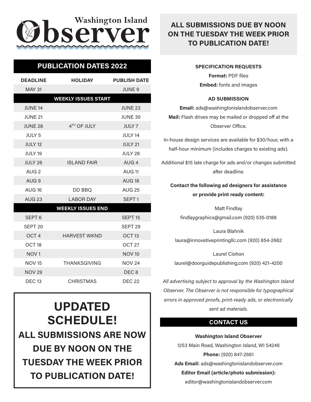# $\partial$  **bserver**

## **PUBLICATION DATES 2022**

| <b>DEADLINE</b>    | <b>HOLIDAY</b>             | <b>PUBLISH DATE</b> |
|--------------------|----------------------------|---------------------|
| <b>MAY 31</b>      |                            | <b>JUNE 9</b>       |
|                    | <b>WEEKLY ISSUES START</b> |                     |
| <b>JUNE 14</b>     |                            | <b>JUNE 23</b>      |
| <b>JUNE 21</b>     |                            | JUNE 30             |
| <b>JUNE 28</b>     | 4 <sup>TH</sup> OF JULY    | <b>JULY 7</b>       |
| <b>JULY 5</b>      |                            | JULY 14             |
| <b>JULY 12</b>     |                            | <b>JULY 21</b>      |
| <b>JULY 19</b>     |                            | JULY 28             |
| JULY 26            | <b>ISLAND FAIR</b>         | AUG <sub>4</sub>    |
| AUG <sub>2</sub>   |                            | AUG <sub>11</sub>   |
| AUG <sub>9</sub>   |                            | AUG <sub>18</sub>   |
| <b>AUG 16</b>      | DD BBQ                     | <b>AUG 25</b>       |
| <b>AUG 23</b>      | <b>LABOR DAY</b>           | SEPT <sub>1</sub>   |
|                    | <b>WEEKLY ISSUES END</b>   |                     |
| SEPT <sub>6</sub>  |                            | SEPT <sub>15</sub>  |
| SEPT <sub>20</sub> |                            | SEPT <sub>29</sub>  |
| OCT <sub>4</sub>   | <b>HARVEST WKND</b>        | OCT <sub>13</sub>   |
| OCT <sub>18</sub>  |                            | OCT <sub>27</sub>   |
| NOV <sub>1</sub>   |                            | <b>NOV 10</b>       |
| <b>NOV 15</b>      | <b>THANKSGIVING</b>        | <b>NOV 24</b>       |
| <b>NOV 29</b>      |                            | DEC <sub>8</sub>    |
| <b>DEC 13</b>      | <b>CHRISTMAS</b>           | <b>DEC 22</b>       |

UPDATED SCHEDULE! ALL SUBMISSIONS ARE NOW DUE BY NOON ON THE TUESDAY THE WEEK PRIOR TO PUBLICATION DATE!

#### ALL SUBMISSIONS DUE BY NOON ON THE TUESDAY THE WEEK PRIOR TO PUBLICATION DATE!

#### SPECIFICATION REQUESTS

Format: PDF files Embed: fonts and images

#### AD SUBMISSION

Email: ads@washingtonislandobserver.com Mail: Flash drives may be mailed or dropped off at the Observer Office.

In-house design services are available for \$30/hour, with a half-hour minimum (includes charges to existing ads).

Additional \$15 late charge for ads and/or changes submitted after deadline.

#### Contact the following ad designers for assistance or provide print ready content:

Matt Findlay findlaygraphics@gmail.com (920) 535-0188

Laura Blahnik laura@innovativeprintingllc.com (920) 854-2662

Laurel Ciohon laurel@doorguidepublishing.com (920) 421-4200

All advertising subject to approval by the Washington Island Observer. The Observer is not responsible for typographical errors in approved proofs, print-ready ads, or electronically sent ad materials.

#### CONTACT US

Washington Island Observer 1253 Main Road, Washington Island, WI 54246 Phone: (920) 847-2661 Ads Email: ads@washingtonislandobserver.com Editor Email (article/photo submission): editor@washingtonislandobserver.com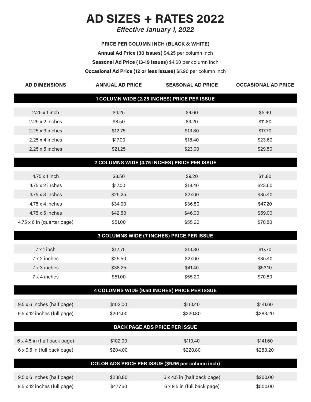## AD SIZES + RATES 2022

Effective January 1, 2022

PRICE PER COLUMN INCH (BLACK & WHITE) Annual Ad Price (30 issues) \$4.25 per column inch Seasonal Ad Price (13-19 issues) \$4.60 per column inch Occasional Ad Price (12 or less issues) \$5.90 per column inch

| <b>AD DIMENSIONS</b>                        | <b>ANNUAL AD PRICE</b> | <b>SEASONAL AD PRICE</b>                           | <b>OCCASIONAL AD PRICE</b> |  |
|---------------------------------------------|------------------------|----------------------------------------------------|----------------------------|--|
| 1 COLUMN WIDE (2.25 INCHES) PRICE PER ISSUE |                        |                                                    |                            |  |
| $2.25 \times 1$ inch                        | \$4.25                 | \$4.60                                             | \$5.90                     |  |
| $2.25 \times 2$ inches                      | \$8.50                 | \$9.20                                             | \$11.80                    |  |
| $2.25 \times 3$ inches                      | \$12.75                | \$13.80                                            | \$17.70                    |  |
| $2.25 \times 4$ inches                      | \$17.00                | \$18.40                                            | \$23.60                    |  |
| $2.25 \times 5$ inches                      | \$21.25                | \$23.00                                            | \$29.50                    |  |
|                                             |                        | 2 COLUMNS WIDE (4.75 INCHES) PRICE PER ISSUE       |                            |  |
| 4.75 x 1 inch                               | \$8.50                 | \$9.20                                             | \$11.80                    |  |
| $4.75 \times 2$ inches                      | \$17.00                | \$18.40                                            | \$23.60                    |  |
| $4.75 \times 3$ inches                      | \$25.25                | \$27.60                                            | \$35.40                    |  |
| $4.75 \times 4$ inches                      | \$34.00                | \$36.80                                            | \$47.20                    |  |
| $4.75 \times 5$ inches                      | \$42.50                | \$46.00                                            | \$59.00                    |  |
| 4.75 x 6 in (quarter page)                  | \$51.00                | \$55.20                                            | \$70.80                    |  |
|                                             |                        | 3 COLUMNS WIDE (7 INCHES) PRICE PER ISSUE          |                            |  |
| $7 \times 1$ inch                           | \$12.75                | \$13.80                                            | \$17.70                    |  |
| 7 x 2 inches                                | \$25.50                | \$27.60                                            | \$35.40                    |  |
| 7 x 3 inches                                | \$38.25                | \$41.40                                            | \$53.10                    |  |
| 7 x 4 inches                                | \$51.00                | \$55.20                                            | \$70.80                    |  |
|                                             |                        | 4 COLUMNS WIDE (9.50 INCHES) PRICE PER ISSUE       |                            |  |
| 9.5 x 6 inches (half page)                  | \$102.00               | \$110.40                                           | \$141.60                   |  |
| 9.5 x 12 inches (full page)                 | \$204.00               | \$220.80                                           | \$283.20                   |  |
|                                             |                        | <b>BACK PAGE ADS PRICE PER ISSUE</b>               |                            |  |
| 6 x 4.5 in (half back page)                 | \$102.00               | \$110.40                                           | \$141.60                   |  |
| 6 x 9.5 in (full back page)                 | \$204.00               | \$220.80                                           | \$283.20                   |  |
|                                             |                        | COLOR ADS PRICE PER ISSUE (\$9.95 per column inch) |                            |  |
| 9.5 x 6 inches (half page)                  | \$238.80               | 6 x 4.5 in (half back page)                        | \$200.00                   |  |
| 9.5 x 12 inches (full page)                 | \$477.60               | 6 x 9.5 in (full back page)                        | \$500.00                   |  |